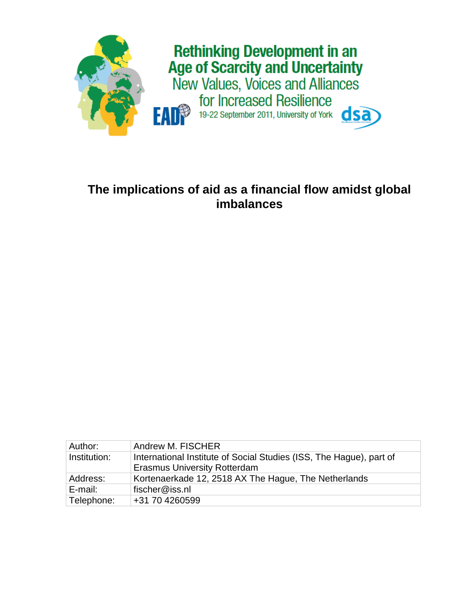

# **The implications of aid as a financial flow amidst global imbalances**

| Author:      | <b>Andrew M. FISCHER</b>                                                                                   |
|--------------|------------------------------------------------------------------------------------------------------------|
| Institution: | International Institute of Social Studies (ISS, The Hague), part of<br><b>Erasmus University Rotterdam</b> |
| Address:     | Kortenaerkade 12, 2518 AX The Hague, The Netherlands                                                       |
| E-mail:      | fischer@iss.nl                                                                                             |
| Telephone:   | +31 70 4260599                                                                                             |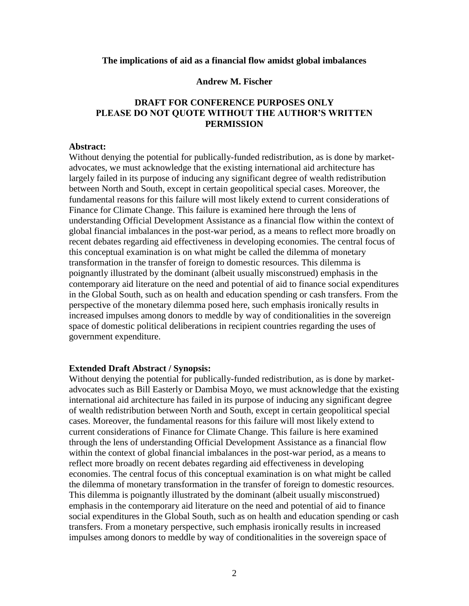## **The implications of aid as a financial flow amidst global imbalances**

## **Andrew M. Fischer**

## **DRAFT FOR CONFERENCE PURPOSES ONLY PLEASE DO NOT QUOTE WITHOUT THE AUTHOR'S WRITTEN PERMISSION**

#### **Abstract:**

Without denying the potential for publically-funded redistribution, as is done by marketadvocates, we must acknowledge that the existing international aid architecture has largely failed in its purpose of inducing any significant degree of wealth redistribution between North and South, except in certain geopolitical special cases. Moreover, the fundamental reasons for this failure will most likely extend to current considerations of Finance for Climate Change. This failure is examined here through the lens of understanding Official Development Assistance as a financial flow within the context of global financial imbalances in the post-war period, as a means to reflect more broadly on recent debates regarding aid effectiveness in developing economies. The central focus of this conceptual examination is on what might be called the dilemma of monetary transformation in the transfer of foreign to domestic resources. This dilemma is poignantly illustrated by the dominant (albeit usually misconstrued) emphasis in the contemporary aid literature on the need and potential of aid to finance social expenditures in the Global South, such as on health and education spending or cash transfers. From the perspective of the monetary dilemma posed here, such emphasis ironically results in increased impulses among donors to meddle by way of conditionalities in the sovereign space of domestic political deliberations in recipient countries regarding the uses of government expenditure.

## **Extended Draft Abstract / Synopsis:**

Without denying the potential for publically-funded redistribution, as is done by marketadvocates such as Bill Easterly or Dambisa Moyo, we must acknowledge that the existing international aid architecture has failed in its purpose of inducing any significant degree of wealth redistribution between North and South, except in certain geopolitical special cases. Moreover, the fundamental reasons for this failure will most likely extend to current considerations of Finance for Climate Change. This failure is here examined through the lens of understanding Official Development Assistance as a financial flow within the context of global financial imbalances in the post-war period, as a means to reflect more broadly on recent debates regarding aid effectiveness in developing economies. The central focus of this conceptual examination is on what might be called the dilemma of monetary transformation in the transfer of foreign to domestic resources. This dilemma is poignantly illustrated by the dominant (albeit usually misconstrued) emphasis in the contemporary aid literature on the need and potential of aid to finance social expenditures in the Global South, such as on health and education spending or cash transfers. From a monetary perspective, such emphasis ironically results in increased impulses among donors to meddle by way of conditionalities in the sovereign space of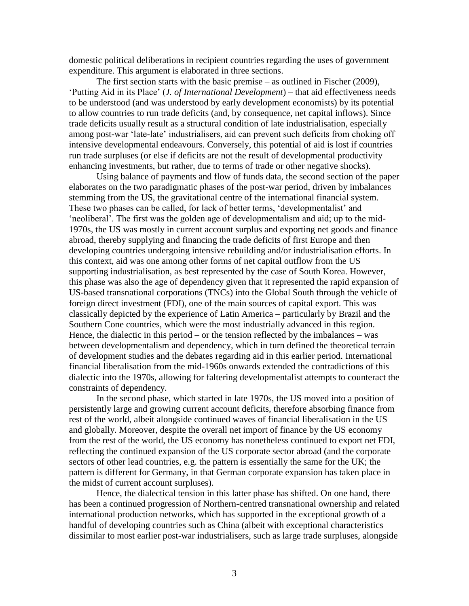domestic political deliberations in recipient countries regarding the uses of government expenditure. This argument is elaborated in three sections.

The first section starts with the basic premise – as outlined in Fischer (2009), 'Putting Aid in its Place' (*J. of International Development*) – that aid effectiveness needs to be understood (and was understood by early development economists) by its potential to allow countries to run trade deficits (and, by consequence, net capital inflows). Since trade deficits usually result as a structural condition of late industrialisation, especially among post-war 'late-late' industrialisers, aid can prevent such deficits from choking off intensive developmental endeavours. Conversely, this potential of aid is lost if countries run trade surpluses (or else if deficits are not the result of developmental productivity enhancing investments, but rather, due to terms of trade or other negative shocks).

Using balance of payments and flow of funds data, the second section of the paper elaborates on the two paradigmatic phases of the post-war period, driven by imbalances stemming from the US, the gravitational centre of the international financial system. These two phases can be called, for lack of better terms, 'developmentalist' and 'neoliberal'. The first was the golden age of developmentalism and aid; up to the mid-1970s, the US was mostly in current account surplus and exporting net goods and finance abroad, thereby supplying and financing the trade deficits of first Europe and then developing countries undergoing intensive rebuilding and/or industrialisation efforts. In this context, aid was one among other forms of net capital outflow from the US supporting industrialisation, as best represented by the case of South Korea. However, this phase was also the age of dependency given that it represented the rapid expansion of US-based transnational corporations (TNCs) into the Global South through the vehicle of foreign direct investment (FDI), one of the main sources of capital export. This was classically depicted by the experience of Latin America – particularly by Brazil and the Southern Cone countries, which were the most industrially advanced in this region. Hence, the dialectic in this period – or the tension reflected by the imbalances – was between developmentalism and dependency, which in turn defined the theoretical terrain of development studies and the debates regarding aid in this earlier period. International financial liberalisation from the mid-1960s onwards extended the contradictions of this dialectic into the 1970s, allowing for faltering developmentalist attempts to counteract the constraints of dependency.

In the second phase, which started in late 1970s, the US moved into a position of persistently large and growing current account deficits, therefore absorbing finance from rest of the world, albeit alongside continued waves of financial liberalisation in the US and globally. Moreover, despite the overall net import of finance by the US economy from the rest of the world, the US economy has nonetheless continued to export net FDI, reflecting the continued expansion of the US corporate sector abroad (and the corporate sectors of other lead countries, e.g. the pattern is essentially the same for the UK; the pattern is different for Germany, in that German corporate expansion has taken place in the midst of current account surpluses).

Hence, the dialectical tension in this latter phase has shifted. On one hand, there has been a continued progression of Northern-centred transnational ownership and related international production networks, which has supported in the exceptional growth of a handful of developing countries such as China (albeit with exceptional characteristics dissimilar to most earlier post-war industrialisers, such as large trade surpluses, alongside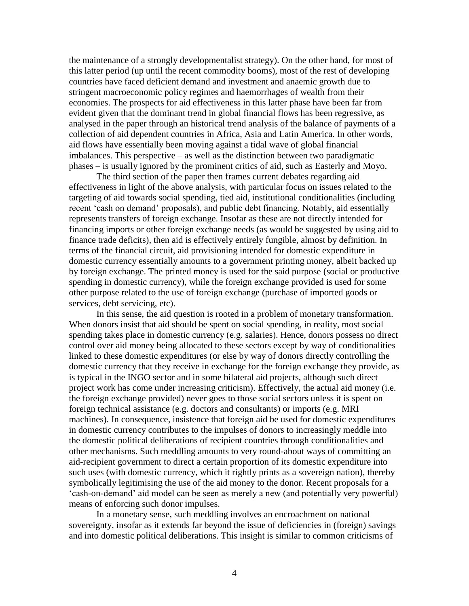the maintenance of a strongly developmentalist strategy). On the other hand, for most of this latter period (up until the recent commodity booms), most of the rest of developing countries have faced deficient demand and investment and anaemic growth due to stringent macroeconomic policy regimes and haemorrhages of wealth from their economies. The prospects for aid effectiveness in this latter phase have been far from evident given that the dominant trend in global financial flows has been regressive, as analysed in the paper through an historical trend analysis of the balance of payments of a collection of aid dependent countries in Africa, Asia and Latin America. In other words, aid flows have essentially been moving against a tidal wave of global financial imbalances. This perspective – as well as the distinction between two paradigmatic phases – is usually ignored by the prominent critics of aid, such as Easterly and Moyo.

The third section of the paper then frames current debates regarding aid effectiveness in light of the above analysis, with particular focus on issues related to the targeting of aid towards social spending, tied aid, institutional conditionalities (including recent 'cash on demand' proposals), and public debt financing. Notably, aid essentially represents transfers of foreign exchange. Insofar as these are not directly intended for financing imports or other foreign exchange needs (as would be suggested by using aid to finance trade deficits), then aid is effectively entirely fungible, almost by definition. In terms of the financial circuit, aid provisioning intended for domestic expenditure in domestic currency essentially amounts to a government printing money, albeit backed up by foreign exchange. The printed money is used for the said purpose (social or productive spending in domestic currency), while the foreign exchange provided is used for some other purpose related to the use of foreign exchange (purchase of imported goods or services, debt servicing, etc).

In this sense, the aid question is rooted in a problem of monetary transformation. When donors insist that aid should be spent on social spending, in reality, most social spending takes place in domestic currency (e.g. salaries). Hence, donors possess no direct control over aid money being allocated to these sectors except by way of conditionalities linked to these domestic expenditures (or else by way of donors directly controlling the domestic currency that they receive in exchange for the foreign exchange they provide, as is typical in the INGO sector and in some bilateral aid projects, although such direct project work has come under increasing criticism). Effectively, the actual aid money (i.e. the foreign exchange provided) never goes to those social sectors unless it is spent on foreign technical assistance (e.g. doctors and consultants) or imports (e.g. MRI machines). In consequence, insistence that foreign aid be used for domestic expenditures in domestic currency contributes to the impulses of donors to increasingly meddle into the domestic political deliberations of recipient countries through conditionalities and other mechanisms. Such meddling amounts to very round-about ways of committing an aid-recipient government to direct a certain proportion of its domestic expenditure into such uses (with domestic currency, which it rightly prints as a sovereign nation), thereby symbolically legitimising the use of the aid money to the donor. Recent proposals for a 'cash-on-demand' aid model can be seen as merely a new (and potentially very powerful) means of enforcing such donor impulses.

In a monetary sense, such meddling involves an encroachment on national sovereignty, insofar as it extends far beyond the issue of deficiencies in (foreign) savings and into domestic political deliberations. This insight is similar to common criticisms of